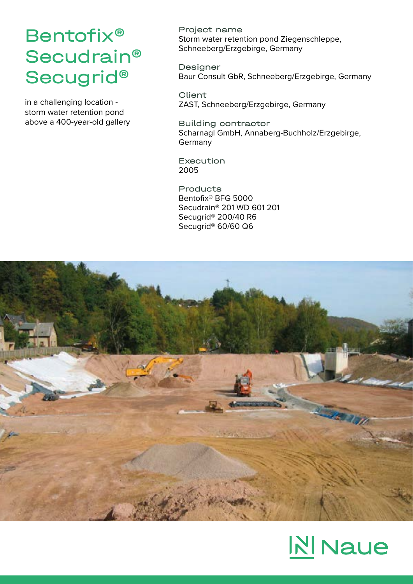## Bentofix® Secudrain® Secugrid®

in a challenging location storm water retention pond above a 400-year-old gallery Project name Storm water retention pond Ziegenschleppe, Schneeberg/Erzgebirge, Germany

Designer Baur Consult GbR, Schneeberg/Erzgebirge, Germany

Client ZAST, Schneeberg/Erzgebirge, Germany

Building contractor Scharnagl GmbH, Annaberg-Buchholz/Erzgebirge, Germany

Execution 2005

Products Bentofix® BFG 5000 Secudrain® 201 WD 601 201 Secugrid® 200/40 R6 Secugrid® 60/60 Q6



## **N** Naue